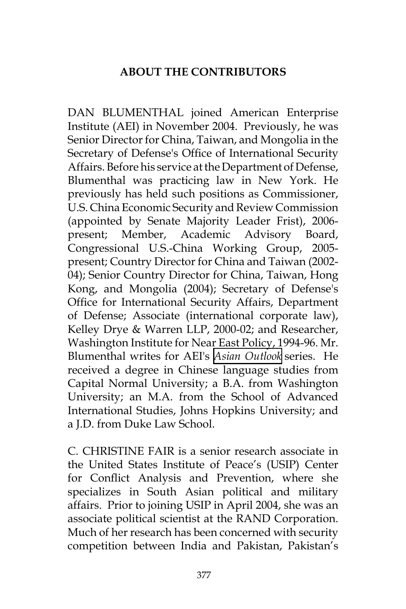## **ABOUT THE CONTRIBUTORS**

DAN BLUMENTHAL joined American Enterprise Institute (AEI) in November 2004. Previously, he was Senior Director for China, Taiwan, and Mongolia in the Secretary of Defense's Office of International Security Affairs. Before his service at the Department of Defense, Blumenthal was practicing law in New York. He previously has held such positions as Commissioner, U.S. China Economic Security and Review Commission (appointed by Senate Majority Leader Frist), 2006 present; Member, Academic Advisory Board, Congressional U.S.-China Working Group, 2005 present; Country Director for China and Taiwan (2002- 04); Senior Country Director for China, Taiwan, Hong Kong, and Mongolia (2004); Secretary of Defense's Office for International Security Affairs, Department of Defense; Associate (international corporate law), Kelley Drye & Warren LLP, 2000-02; and Researcher, Washington Institute for Near East Policy, 1994-96. Mr. Blumenthal writes for AEI's *[Asian Outlook](http://www.aei.org/publications/contentID.20050429112455825/default.asp)* series. He received a degree in Chinese language studies from Capital Normal University; a B.A. from Washington University; an M.A. from the School of Advanced International Studies, Johns Hopkins University; and a J.D. from Duke Law School.

C. CHRISTINE FAIR is a senior research associate in the United States Institute of Peace's (USIP) Center for Conflict Analysis and Prevention, where she specializes in South Asian political and military affairs. Prior to joining USIP in April 2004, she was an associate political scientist at the RAND Corporation. Much of her research has been concerned with security competition between India and Pakistan, Pakistan's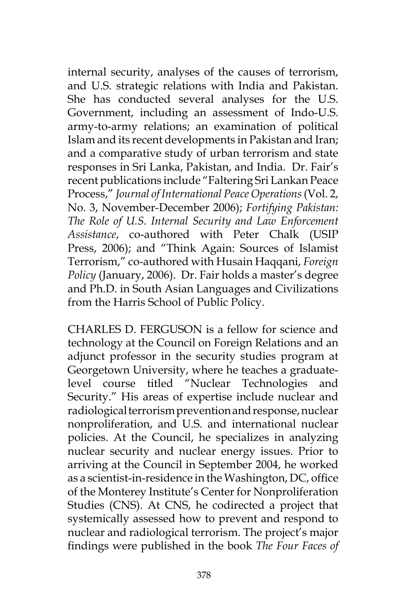internal security, analyses of the causes of terrorism, and U.S. strategic relations with India and Pakistan. She has conducted several analyses for the U.S. Government, including an assessment of Indo-U.S. army-to-army relations; an examination of political Islam and its recent developments in Pakistan and Iran; and a comparative study of urban terrorism and state responses in Sri Lanka, Pakistan, and India. Dr. Fair's recent publications include "Faltering Sri Lankan Peace Process," *Journal of International Peace Operations* (Vol. 2, No. 3, November-December 2006); *Fortifying Pakistan: The Role of U.S. Internal Security and Law Enforcement Assistance*, co-authored with Peter Chalk (USIP Press, 2006); and "Think Again: Sources of Islamist Terrorism," co-authored with Husain Haqqani, *Foreign Policy* (January, 2006). Dr. Fair holds a master's degree and Ph.D. in South Asian Languages and Civilizations from the Harris School of Public Policy.

CHARLES D. FERGUSON is a fellow for science and technology at the Council on Foreign Relations and an adjunct professor in the security studies program at Georgetown University, where he teaches a graduatelevel course titled "Nuclear Technologies and Security." His areas of expertise include nuclear and radiological terrorism prevention and response, nuclear nonproliferation, and U.S. and international nuclear policies. At the Council, he specializes in analyzing nuclear security and nuclear energy issues. Prior to arriving at the Council in September 2004, he worked as a scientist-in-residence in the Washington, DC, office of the Monterey Institute's Center for Nonproliferation Studies (CNS). At CNS, he codirected a project that systemically assessed how to prevent and respond to nuclear and radiological terrorism. The project's major findings were published in the book *The Four Faces of*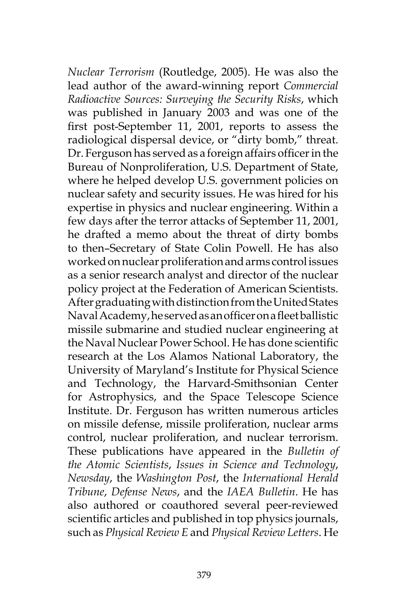*Nuclear Terrorism* (Routledge, 2005). He was also the lead author of the award-winning report *Commercial Radioactive Sources: Surveying the Security Risks*, which was published in January 2003 and was one of the first post-September 11, 2001, reports to assess the radiological dispersal device, or "dirty bomb," threat. Dr. Ferguson has served as a foreign affairs officer in the Bureau of Nonproliferation, U.S. Department of State, where he helped develop U.S. government policies on nuclear safety and security issues. He was hired for his expertise in physics and nuclear engineering. Within a few days after the terror attacks of September 11, 2001, he drafted a memo about the threat of dirty bombs to then–Secretary of State Colin Powell. He has also worked on nuclear proliferation and arms control issues as a senior research analyst and director of the nuclear policy project at the Federation of American Scientists. After graduating with distinction from the United States Naval Academy, he served as an officer on a fleet ballistic missile submarine and studied nuclear engineering at the Naval Nuclear Power School. He has done scientific research at the Los Alamos National Laboratory, the University of Maryland's Institute for Physical Science and Technology, the Harvard-Smithsonian Center for Astrophysics, and the Space Telescope Science Institute. Dr. Ferguson has written numerous articles on missile defense, missile proliferation, nuclear arms control, nuclear proliferation, and nuclear terrorism. These publications have appeared in the *Bulletin of the Atomic Scientists*, *Issues in Science and Technology*, *Newsday*, the *Washington Post*, the *International Herald Tribune*, *Defense News*, and the *IAEA Bulletin*. He has also authored or coauthored several peer-reviewed scientific articles and published in top physics journals, such as *Physical Review E* and *Physical Review Letters*. He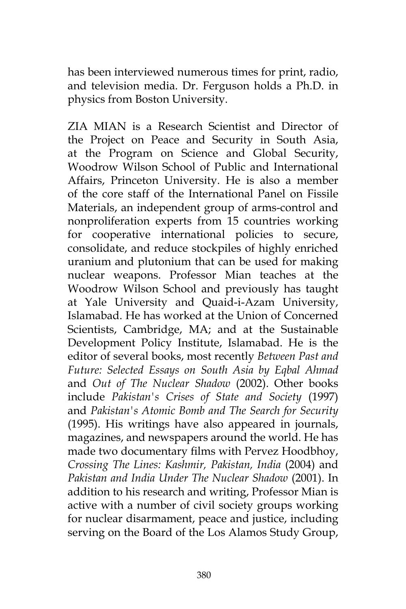has been interviewed numerous times for print, radio, and television media. Dr. Ferguson holds a Ph.D. in physics from Boston University.

ZIA MIAN is a Research Scientist and Director of the Project on Peace and Security in South Asia, at the Program on Science and Global Security, Woodrow Wilson School of Public and International Affairs, Princeton University. He is also a member of the core staff of the International Panel on Fissile Materials, an independent group of arms-control and nonproliferation experts from 15 countries working for cooperative international policies to secure, consolidate, and reduce stockpiles of highly enriched uranium and plutonium that can be used for making nuclear weapons. Professor Mian teaches at the Woodrow Wilson School and previously has taught at Yale University and Quaid-i-Azam University, Islamabad. He has worked at the Union of Concerned Scientists, Cambridge, MA; and at the Sustainable Development Policy Institute, Islamabad. He is the editor of several books, most recently *Between Past and Future: Selected Essays on South Asia by Eqbal Ahmad* and *Out of The Nuclear Shadow* (2002). Other books include *Pakistan's Crises of State and Society* (1997) and *Pakistan's Atomic Bomb and The Search for Security* (1995). His writings have also appeared in journals, magazines, and newspapers around the world. He has made two documentary films with Pervez Hoodbhoy, *Crossing The Lines: Kashmir, Pakistan, India* (2004) and *Pakistan and India Under The Nuclear Shadow* (2001). In addition to his research and writing, Professor Mian is active with a number of civil society groups working for nuclear disarmament, peace and justice, including serving on the Board of the Los Alamos Study Group,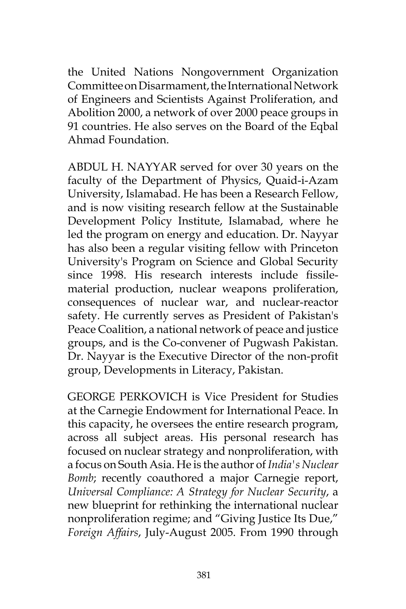the United Nations Nongovernment Organization Committee on Disarmament, the International Network of Engineers and Scientists Against Proliferation, and Abolition 2000, a network of over 2000 peace groups in 91 countries. He also serves on the Board of the Eqbal Ahmad Foundation.

ABDUL H. NAYYAR served for over 30 years on the faculty of the Department of Physics, Quaid-i-Azam University, Islamabad. He has been a Research Fellow, and is now visiting research fellow at the Sustainable Development Policy Institute, Islamabad, where he led the program on energy and education. Dr. Nayyar has also been a regular visiting fellow with Princeton University's Program on Science and Global Security since 1998. His research interests include fissilematerial production, nuclear weapons proliferation, consequences of nuclear war, and nuclear-reactor safety. He currently serves as President of Pakistan's Peace Coalition, a national network of peace and justice groups, and is the Co-convener of Pugwash Pakistan. Dr. Nayyar is the Executive Director of the non-profit group, Developments in Literacy, Pakistan.

GEORGE PERKOVICH is Vice President for Studies at the Carnegie Endowment for International Peace. In this capacity, he oversees the entire research program, across all subject areas. His personal research has focused on nuclear strategy and nonproliferation, with a focus on South Asia. He is the author of *India's Nuclear Bomb*; recently coauthored a major Carnegie report, *Universal Compliance: A Strategy for Nuclear Security*, a new blueprint for rethinking the international nuclear nonproliferation regime; and "Giving Justice Its Due," *Foreign Affairs*, July-August 2005. From 1990 through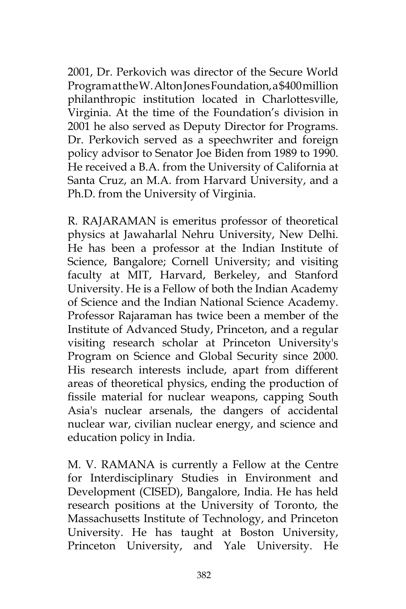2001, Dr. Perkovich was director of the Secure World Program at the W. Alton Jones Foundation, a \$400 million philanthropic institution located in Charlottesville, Virginia. At the time of the Foundation's division in 2001 he also served as Deputy Director for Programs. Dr. Perkovich served as a speechwriter and foreign policy advisor to Senator Joe Biden from 1989 to 1990. He received a B.A. from the University of California at Santa Cruz, an M.A. from Harvard University, and a Ph.D. from the University of Virginia.

R. RAJARAMAN is emeritus professor of theoretical physics at Jawaharlal Nehru University, New Delhi. He has been a professor at the Indian Institute of Science, Bangalore; Cornell University; and visiting faculty at MIT, Harvard, Berkeley, and Stanford University. He is a Fellow of both the Indian Academy of Science and the Indian National Science Academy. Professor Rajaraman has twice been a member of the Institute of Advanced Study, Princeton, and a regular visiting research scholar at Princeton University's Program on Science and Global Security since 2000. His research interests include, apart from different areas of theoretical physics, ending the production of fissile material for nuclear weapons, capping South Asia's nuclear arsenals, the dangers of accidental nuclear war, civilian nuclear energy, and science and education policy in India.

M. V. RAMANA is currently a Fellow at the Centre for Interdisciplinary Studies in Environment and Development (CISED), Bangalore, India. He has held research positions at the University of Toronto, the Massachusetts Institute of Technology, and Princeton University. He has taught at Boston University, Princeton University, and Yale University. He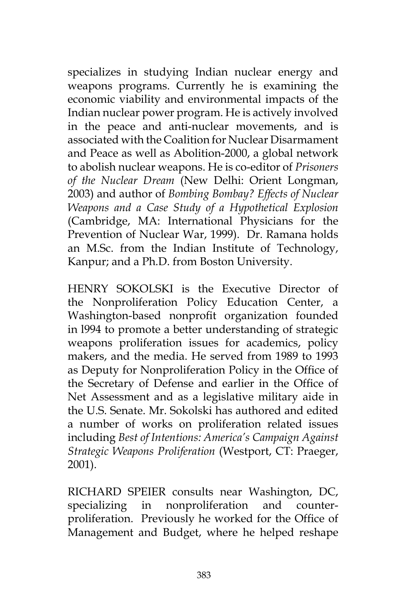specializes in studying Indian nuclear energy and weapons programs. Currently he is examining the economic viability and environmental impacts of the Indian nuclear power program. He is actively involved in the peace and anti-nuclear movements, and is associated with the Coalition for Nuclear Disarmament and Peace as well as Abolition-2000, a global network to abolish nuclear weapons. He is co-editor of *Prisoners of the Nuclear Dream* (New Delhi: Orient Longman, 2003) and author of *Bombing Bombay? Effects of Nuclear Weapons and a Case Study of a Hypothetical Explosion* (Cambridge, MA: International Physicians for the Prevention of Nuclear War, 1999). Dr. Ramana holds an M.Sc. from the Indian Institute of Technology, Kanpur; and a Ph.D. from Boston University.

HENRY SOKOLSKI is the Executive Director of the Nonproliferation Policy Education Center, a Washington-based nonprofit organization founded in l994 to promote a better understanding of strategic weapons proliferation issues for academics, policy makers, and the media. He served from 1989 to 1993 as Deputy for Nonproliferation Policy in the Office of the Secretary of Defense and earlier in the Office of Net Assessment and as a legislative military aide in the U.S. Senate. Mr. Sokolski has authored and edited a number of works on proliferation related issues including *Best of Intentions: America's Campaign Against Strategic Weapons Proliferation* (Westport, CT: Praeger, 2001).

RICHARD SPEIER consults near Washington, DC, specializing in nonproliferation and counterproliferation. Previously he worked for the Office of Management and Budget, where he helped reshape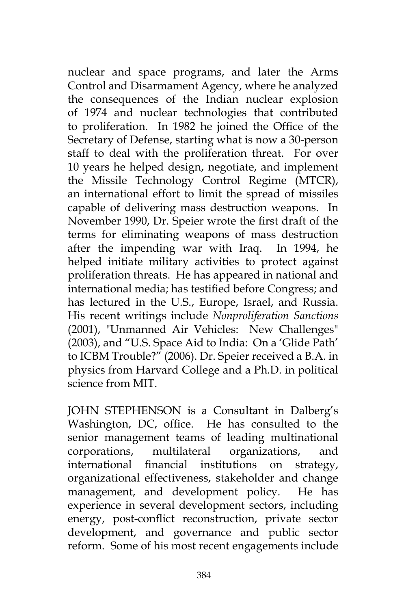nuclear and space programs, and later the Arms Control and Disarmament Agency, where he analyzed the consequences of the Indian nuclear explosion of 1974 and nuclear technologies that contributed to proliferation. In 1982 he joined the Office of the Secretary of Defense, starting what is now a 30-person staff to deal with the proliferation threat. For over 10 years he helped design, negotiate, and implement the Missile Technology Control Regime (MTCR), an international effort to limit the spread of missiles capable of delivering mass destruction weapons. In November 1990, Dr. Speier wrote the first draft of the terms for eliminating weapons of mass destruction after the impending war with Iraq. In 1994, he helped initiate military activities to protect against proliferation threats. He has appeared in national and international media; has testified before Congress; and has lectured in the U.S., Europe, Israel, and Russia. His recent writings include *Nonproliferation Sanctions* (2001), "Unmanned Air Vehicles: New Challenges" (2003), and "U.S. Space Aid to India: On a 'Glide Path' to ICBM Trouble?" (2006). Dr. Speier received a B.A. in physics from Harvard College and a Ph.D. in political science from MIT.

JOHN STEPHENSON is a Consultant in Dalberg's Washington, DC, office. He has consulted to the senior management teams of leading multinational corporations, multilateral organizations, and international financial institutions on strategy, organizational effectiveness, stakeholder and change management, and development policy. He has experience in several development sectors, including energy, post-conflict reconstruction, private sector development, and governance and public sector reform. Some of his most recent engagements include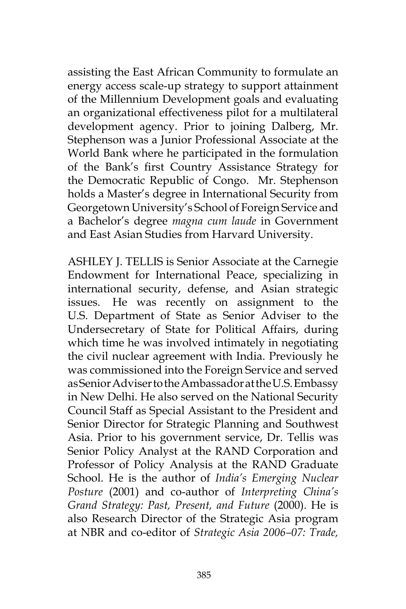assisting the East African Community to formulate an energy access scale-up strategy to support attainment of the Millennium Development goals and evaluating an organizational effectiveness pilot for a multilateral development agency. Prior to joining Dalberg, Mr. Stephenson was a Junior Professional Associate at the World Bank where he participated in the formulation of the Bank's first Country Assistance Strategy for the Democratic Republic of Congo. Mr. Stephenson holds a Master's degree in International Security from Georgetown University's School of Foreign Service and a Bachelor's degree *magna cum laude* in Government and East Asian Studies from Harvard University.

ASHLEY J. TELLIS is Senior Associate at the Carnegie Endowment for International Peace, specializing in international security, defense, and Asian strategic issues. He was recently on assignment to the U.S. Department of State as Senior Adviser to the Undersecretary of State for Political Affairs, during which time he was involved intimately in negotiating the civil nuclear agreement with India. Previously he was commissioned into the Foreign Service and served as Senior Adviser to the Ambassador at the U.S. Embassy in New Delhi. He also served on the National Security Council Staff as Special Assistant to the President and Senior Director for Strategic Planning and Southwest Asia. Prior to his government service, Dr. Tellis was Senior Policy Analyst at the RAND Corporation and Professor of Policy Analysis at the RAND Graduate School. He is the author of *India's Emerging Nuclear Posture* (2001) and co-author of *Interpreting China's Grand Strategy: Past, Present, and Future* (2000). He is also Research Director of the Strategic Asia program at NBR and co-editor of *Strategic Asia 2006–07: Trade,*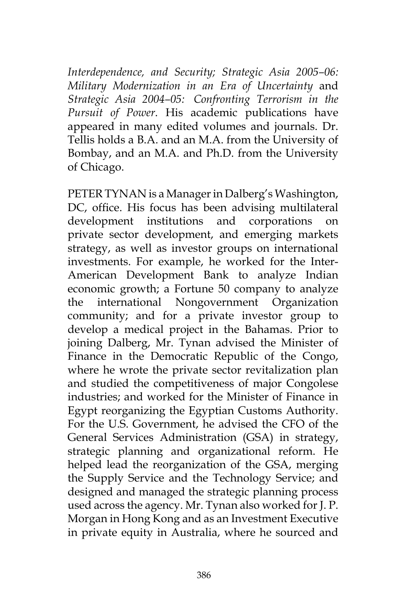*Interdependence, and Security; Strategic Asia 2005–06: Military Modernization in an Era of Uncertainty* and *Strategic Asia 2004–05: Confronting Terrorism in the Pursuit of Power*. His academic publications have appeared in many edited volumes and journals. Dr. Tellis holds a B.A. and an M.A. from the University of Bombay, and an M.A. and Ph.D. from the University of Chicago.

PETER TYNAN is a Manager in Dalberg's Washington, DC, office. His focus has been advising multilateral development institutions and corporations on private sector development, and emerging markets strategy, as well as investor groups on international investments. For example, he worked for the Inter-American Development Bank to analyze Indian economic growth; a Fortune 50 company to analyze the international Nongovernment Organization community; and for a private investor group to develop a medical project in the Bahamas. Prior to joining Dalberg, Mr. Tynan advised the Minister of Finance in the Democratic Republic of the Congo, where he wrote the private sector revitalization plan and studied the competitiveness of major Congolese industries; and worked for the Minister of Finance in Egypt reorganizing the Egyptian Customs Authority. For the U.S. Government, he advised the CFO of the General Services Administration (GSA) in strategy, strategic planning and organizational reform. He helped lead the reorganization of the GSA, merging the Supply Service and the Technology Service; and designed and managed the strategic planning process used across the agency. Mr. Tynan also worked for J. P. Morgan in Hong Kong and as an Investment Executive in private equity in Australia, where he sourced and